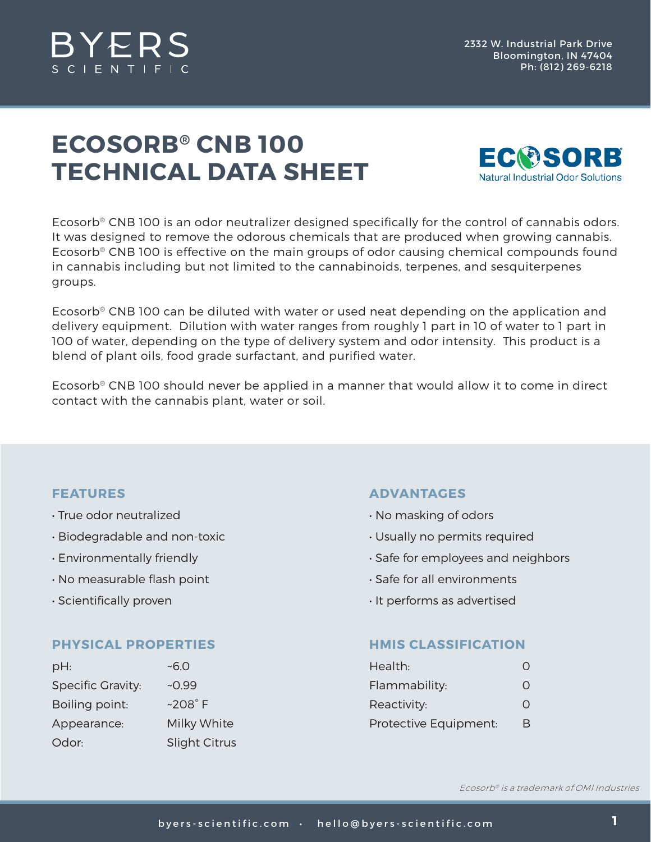

## **ECOSORB® CNB 100 TECHNICAL DATA SHEET**



Ecosorb® CNB 100 is an odor neutralizer designed specifically for the control of cannabis odors. It was designed to remove the odorous chemicals that are produced when growing cannabis. Ecosorb® CNB 100 is effective on the main groups of odor causing chemical compounds found in cannabis including but not limited to the cannabinoids, terpenes, and sesquiterpenes groups.

Ecosorb® CNB 100 can be diluted with water or used neat depending on the application and delivery equipment. Dilution with water ranges from roughly 1 part in 10 of water to 1 part in 100 of water, depending on the type of delivery system and odor intensity. This product is a blend of plant oils, food grade surfactant, and purified water.

Ecosorb® CNB 100 should never be applied in a manner that would allow it to come in direct contact with the cannabis plant, water or soil.

#### **FEATURES**

- True odor neutralized
- Biodegradable and non-toxic
- Environmentally friendly
- No measurable flash point
- Scientifically proven

#### **PHYSICAL PROPERTIES**

| pH:                      | ~5.0                 |
|--------------------------|----------------------|
| <b>Specific Gravity:</b> | $-0.99$              |
| Boiling point:           | $~208^\circ$ F       |
| Appearance:              | Milky White          |
| Odor:                    | <b>Slight Citrus</b> |

#### **ADVANTAGES**

- No masking of odors
- Usually no permits required
- Safe for employees and neighbors
- Safe for all environments
- It performs as advertised

#### **HMIS CLASSIFICATION**

| Health:               |   |
|-----------------------|---|
| Flammability:         | Ω |
| Reactivity:           | Ω |
| Protective Equipment: | R |

Ecosorb® is a trademark of OMI Industries